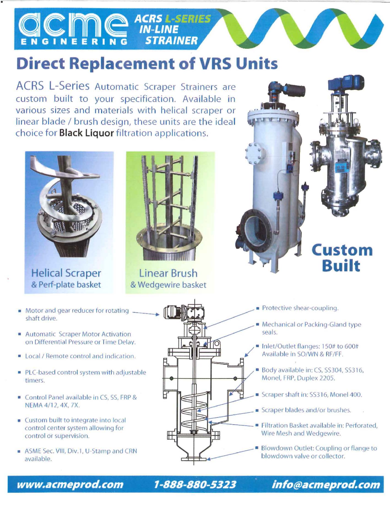#### **ACRS L-SERIES IN-LINE** GINEERIN **STRAINER**

## **Direct Replacement of VRS Units**

ACRS L-Series Automatic Scraper Strainers are custom built to your specification. Available in various sizes and materials with helical scraper or linear blade / brush design, these units are the ideal choice for **Black Liquor** filtration applications.



•

Helical Scraper Linear Brush



& Perf-plate basket & Wedgewire basket



 $\blacksquare$  Motor and gear reducer for rotating  $\rule{1em}{0.15mm}$ **Motor and gear reducer for rotating** \_\_\_\_\_\_\_\_\_<br>shaft drive.

- Automatic Scraper Motor Activation on Differential Pressure or Time Delay.
- Local / Remote control and indication.
- PLC-based control system with adjustable timers.
- NEMA 4/12, 4X, 7X.
- Custom built to integrate into local control center system alloWing for control or supervision.
- **ASME Sec. VIII, Div.1, U-Stamp and CRN** available.



- Protective shear-coupling.
- Mechanical or Packing-Gland type seals.
- linlet/Outlet flanges: 150# to 600# Available in SO/WN & RF/FF.
- Body available in: CS, SS304, SS316, Monel, FRP, Duplex 2205.
- 
- **E** Scraper blades and/or brushes.
- **Filtration Basket available in: Perforated.** Wire Mesh and Wedgewire.
- Blowdown Outlet: Coupling or flange to blowdown valve or collector.

www.acmeprod.com 1-888-880-5323 info@acmeprod.com